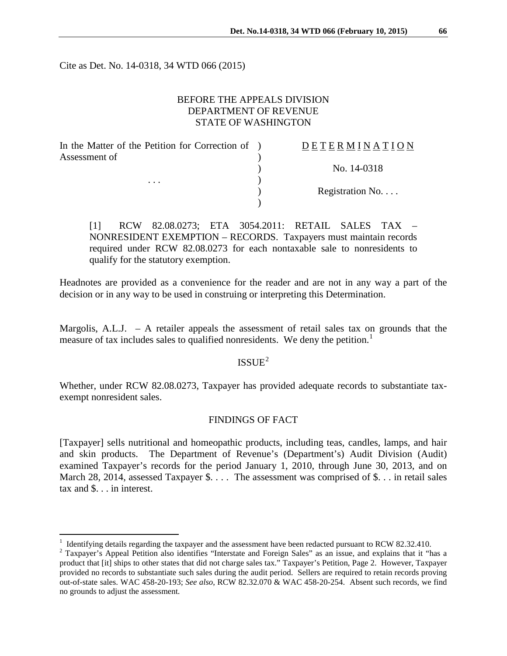Cite as Det. No. 14-0318, 34 WTD 066 (2015)

### BEFORE THE APPEALS DIVISION DEPARTMENT OF REVENUE STATE OF WASHINGTON

| In the Matter of the Petition for Correction of ) | DETERMINATION   |
|---------------------------------------------------|-----------------|
| Assessment of                                     |                 |
|                                                   | No. 14-0318     |
| $\cdots$                                          |                 |
|                                                   | Registration No |
|                                                   |                 |
|                                                   |                 |

[1] RCW 82.08.0273; ETA 3054.2011: RETAIL SALES TAX – NONRESIDENT EXEMPTION – RECORDS. Taxpayers must maintain records required under RCW 82.08.0273 for each nontaxable sale to nonresidents to qualify for the statutory exemption.

Headnotes are provided as a convenience for the reader and are not in any way a part of the decision or in any way to be used in construing or interpreting this Determination.

Margolis, A.L.J.  $- A$  retailer appeals the assessment of retail sales tax on grounds that the measure of tax includes sales to qualified nonresidents. We deny the petition.<sup>[1](#page-0-0)</sup>

 $ISSUE<sup>2</sup>$  $ISSUE<sup>2</sup>$  $ISSUE<sup>2</sup>$ 

Whether, under RCW 82.08.0273, Taxpayer has provided adequate records to substantiate taxexempt nonresident sales.

# FINDINGS OF FACT

[Taxpayer] sells nutritional and homeopathic products, including teas, candles, lamps, and hair and skin products. The Department of Revenue's (Department's) Audit Division (Audit) examined Taxpayer's records for the period January 1, 2010, through June 30, 2013, and on March 28, 2014, assessed Taxpayer \$. . . . The assessment was comprised of \$. . . in retail sales tax and \$. . . in interest.

<span id="page-0-0"></span><sup>&</sup>lt;sup>1</sup> Identifying details regarding the taxpayer and the assessment have been redacted pursuant to RCW 82.32.410.

<span id="page-0-1"></span><sup>&</sup>lt;sup>2</sup> Taxpayer's Appeal Petition also identifies "Interstate and Foreign Sales" as an issue, and explains that it "has a product that [it] ships to other states that did not charge sales tax." Taxpayer's Petition, Page 2. However, Taxpayer provided no records to substantiate such sales during the audit period. Sellers are required to retain records proving out-of-state sales. WAC 458-20-193; *See also*, RCW 82.32.070 & WAC 458-20-254. Absent such records, we find no grounds to adjust the assessment.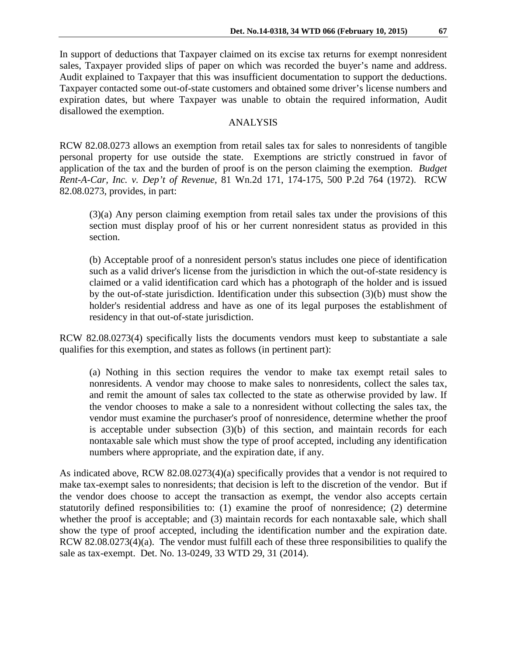In support of deductions that Taxpayer claimed on its excise tax returns for exempt nonresident sales, Taxpayer provided slips of paper on which was recorded the buyer's name and address. Audit explained to Taxpayer that this was insufficient documentation to support the deductions. Taxpayer contacted some out-of-state customers and obtained some driver's license numbers and expiration dates, but where Taxpayer was unable to obtain the required information, Audit disallowed the exemption.

### ANALYSIS

RCW 82.08.0273 allows an exemption from retail sales tax for sales to nonresidents of tangible personal property for use outside the state. Exemptions are strictly construed in favor of application of the tax and the burden of proof is on the person claiming the exemption. *Budget Rent-A-Car, Inc. v. Dep't of Revenue*, 81 Wn.2d 171, 174-175, 500 P.2d 764 (1972). RCW 82.08.0273, provides, in part:

(3)(a) Any person claiming exemption from retail sales tax under the provisions of this section must display proof of his or her current nonresident status as provided in this section.

(b) Acceptable proof of a nonresident person's status includes one piece of identification such as a valid driver's license from the jurisdiction in which the out-of-state residency is claimed or a valid identification card which has a photograph of the holder and is issued by the out-of-state jurisdiction. Identification under this subsection (3)(b) must show the holder's residential address and have as one of its legal purposes the establishment of residency in that out-of-state jurisdiction.

RCW 82.08.0273(4) specifically lists the documents vendors must keep to substantiate a sale qualifies for this exemption, and states as follows (in pertinent part):

(a) Nothing in this section requires the vendor to make tax exempt retail sales to nonresidents. A vendor may choose to make sales to nonresidents, collect the sales tax, and remit the amount of sales tax collected to the state as otherwise provided by law. If the vendor chooses to make a sale to a nonresident without collecting the sales tax, the vendor must examine the purchaser's proof of nonresidence, determine whether the proof is acceptable under subsection  $(3)(b)$  of this section, and maintain records for each nontaxable sale which must show the type of proof accepted, including any identification numbers where appropriate, and the expiration date, if any.

As indicated above, RCW 82.08.0273(4)(a) specifically provides that a vendor is not required to make tax-exempt sales to nonresidents; that decision is left to the discretion of the vendor. But if the vendor does choose to accept the transaction as exempt, the vendor also accepts certain statutorily defined responsibilities to: (1) examine the proof of nonresidence; (2) determine whether the proof is acceptable; and (3) maintain records for each nontaxable sale, which shall show the type of proof accepted, including the identification number and the expiration date. RCW 82.08.0273(4)(a). The vendor must fulfill each of these three responsibilities to qualify the sale as tax-exempt. Det. No. 13-0249, 33 WTD 29, 31 (2014).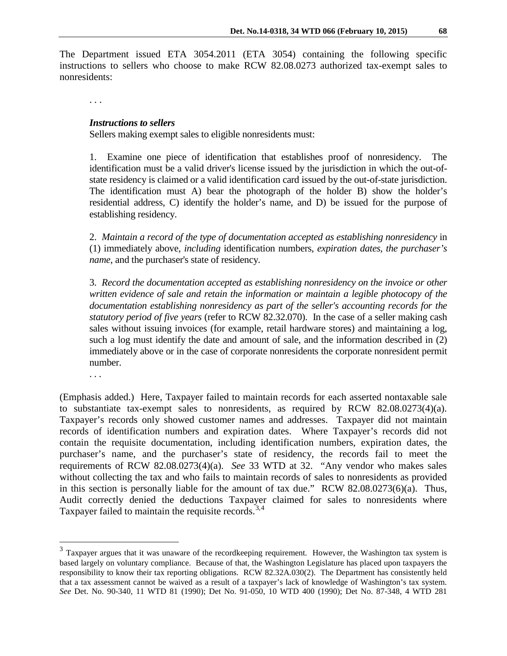The Department issued ETA 3054.2011 (ETA 3054) containing the following specific instructions to sellers who choose to make RCW 82.08.0273 authorized tax-exempt sales to nonresidents:

. . .

#### *Instructions to sellers*

Sellers making exempt sales to eligible nonresidents must:

1. Examine one piece of identification that establishes proof of nonresidency. The identification must be a valid driver's license issued by the jurisdiction in which the out-ofstate residency is claimed or a valid identification card issued by the out-of-state jurisdiction. The identification must A) bear the photograph of the holder B) show the holder's residential address, C) identify the holder's name, and D) be issued for the purpose of establishing residency.

2. *Maintain a record of the type of documentation accepted as establishing nonresidency* in (1) immediately above, *including* identification numbers, *expiration dates, the purchaser's name*, and the purchaser's state of residency.

3. *Record the documentation accepted as establishing nonresidency on the invoice or other written evidence of sale and retain the information or maintain a legible photocopy of the documentation establishing nonresidency as part of the seller's accounting records for the statutory period of five years* (refer to RCW 82.32.070). In the case of a seller making cash sales without issuing invoices (for example, retail hardware stores) and maintaining a log, such a log must identify the date and amount of sale, and the information described in (2) immediately above or in the case of corporate nonresidents the corporate nonresident permit number.

. . .

 $\overline{a}$ 

(Emphasis added.) Here, Taxpayer failed to maintain records for each asserted nontaxable sale to substantiate tax-exempt sales to nonresidents, as required by RCW 82.08.0273(4)(a). Taxpayer's records only showed customer names and addresses. Taxpayer did not maintain records of identification numbers and expiration dates. Where Taxpayer's records did not contain the requisite documentation, including identification numbers, expiration dates, the purchaser's name, and the purchaser's state of residency, the records fail to meet the requirements of RCW 82.08.0273(4)(a). *See* 33 WTD at 32. "Any vendor who makes sales without collecting the tax and who fails to maintain records of sales to nonresidents as provided in this section is personally liable for the amount of tax due." RCW 82.08.0273(6)(a). Thus, Audit correctly denied the deductions Taxpayer claimed for sales to nonresidents where Taxpayer failed to maintain the requisite records.<sup>[3,](#page-2-0)[4](#page-2-1)</sup>

<span id="page-2-1"></span><span id="page-2-0"></span> $3$  Taxpayer argues that it was unaware of the recordkeeping requirement. However, the Washington tax system is based largely on voluntary compliance. Because of that, the Washington Legislature has placed upon taxpayers the responsibility to know their tax reporting obligations. RCW 82.32A.030(2). The Department has consistently held that a tax assessment cannot be waived as a result of a taxpayer's lack of knowledge of Washington's tax system. *See* Det. No. 90-340, 11 WTD 81 (1990); Det No. 91-050, 10 WTD 400 (1990); Det No. 87-348, 4 WTD 281